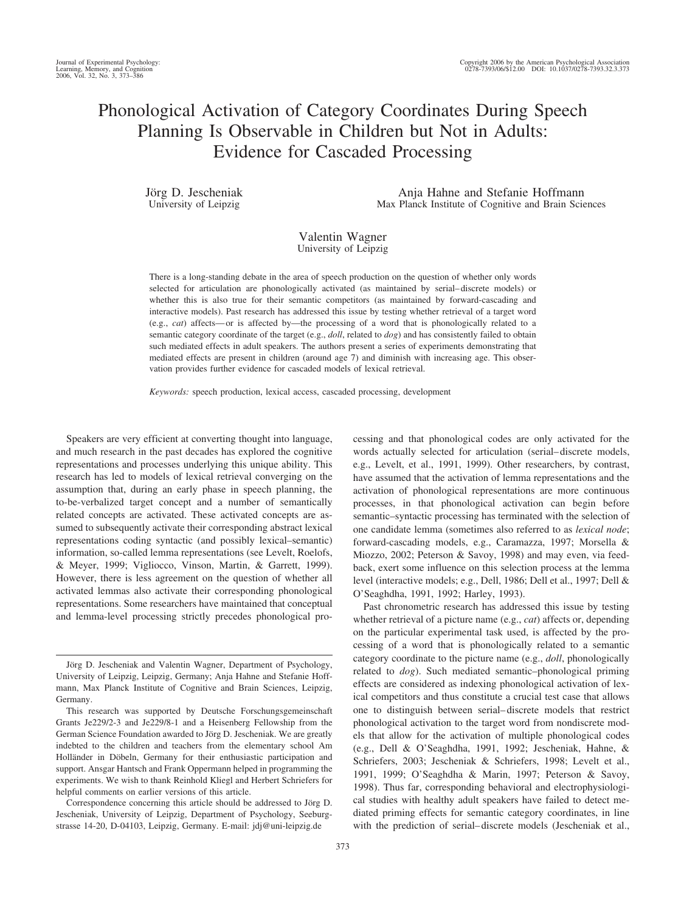# Phonological Activation of Category Coordinates During Speech Planning Is Observable in Children but Not in Adults: Evidence for Cascaded Processing

Jörg D. Jescheniak University of Leipzig

Anja Hahne and Stefanie Hoffmann Max Planck Institute of Cognitive and Brain Sciences

# Valentin Wagner University of Leipzig

There is a long-standing debate in the area of speech production on the question of whether only words selected for articulation are phonologically activated (as maintained by serial– discrete models) or whether this is also true for their semantic competitors (as maintained by forward-cascading and interactive models). Past research has addressed this issue by testing whether retrieval of a target word (e.g., *cat*) affects— or is affected by—the processing of a word that is phonologically related to a semantic category coordinate of the target (e.g., *doll*, related to *dog*) and has consistently failed to obtain such mediated effects in adult speakers. The authors present a series of experiments demonstrating that mediated effects are present in children (around age 7) and diminish with increasing age. This observation provides further evidence for cascaded models of lexical retrieval.

*Keywords:* speech production, lexical access, cascaded processing, development

Speakers are very efficient at converting thought into language, and much research in the past decades has explored the cognitive representations and processes underlying this unique ability. This research has led to models of lexical retrieval converging on the assumption that, during an early phase in speech planning, the to-be-verbalized target concept and a number of semantically related concepts are activated. These activated concepts are assumed to subsequently activate their corresponding abstract lexical representations coding syntactic (and possibly lexical–semantic) information, so-called lemma representations (see Levelt, Roelofs, & Meyer, 1999; Vigliocco, Vinson, Martin, & Garrett, 1999). However, there is less agreement on the question of whether all activated lemmas also activate their corresponding phonological representations. Some researchers have maintained that conceptual and lemma-level processing strictly precedes phonological processing and that phonological codes are only activated for the words actually selected for articulation (serial– discrete models, e.g., Levelt, et al., 1991, 1999). Other researchers, by contrast, have assumed that the activation of lemma representations and the activation of phonological representations are more continuous processes, in that phonological activation can begin before semantic–syntactic processing has terminated with the selection of one candidate lemma (sometimes also referred to as *lexical node*; forward-cascading models, e.g., Caramazza, 1997; Morsella & Miozzo, 2002; Peterson & Savoy, 1998) and may even, via feedback, exert some influence on this selection process at the lemma level (interactive models; e.g., Dell, 1986; Dell et al., 1997; Dell & O'Seaghdha, 1991, 1992; Harley, 1993).

Past chronometric research has addressed this issue by testing whether retrieval of a picture name (e.g., *cat*) affects or, depending on the particular experimental task used, is affected by the processing of a word that is phonologically related to a semantic category coordinate to the picture name (e.g., *doll*, phonologically related to *dog*). Such mediated semantic–phonological priming effects are considered as indexing phonological activation of lexical competitors and thus constitute a crucial test case that allows one to distinguish between serial– discrete models that restrict phonological activation to the target word from nondiscrete models that allow for the activation of multiple phonological codes (e.g., Dell & O'Seaghdha, 1991, 1992; Jescheniak, Hahne, & Schriefers, 2003; Jescheniak & Schriefers, 1998; Levelt et al., 1991, 1999; O'Seaghdha & Marin, 1997; Peterson & Savoy, 1998). Thus far, corresponding behavioral and electrophysiological studies with healthy adult speakers have failed to detect mediated priming effects for semantic category coordinates, in line with the prediction of serial– discrete models (Jescheniak et al.,

Jörg D. Jescheniak and Valentin Wagner, Department of Psychology, University of Leipzig, Leipzig, Germany; Anja Hahne and Stefanie Hoffmann, Max Planck Institute of Cognitive and Brain Sciences, Leipzig, Germany.

This research was supported by Deutsche Forschungsgemeinschaft Grants Je229/2-3 and Je229/8-1 and a Heisenberg Fellowship from the German Science Foundation awarded to Jörg D. Jescheniak. We are greatly indebted to the children and teachers from the elementary school Am Holländer in Döbeln, Germany for their enthusiastic participation and support. Ansgar Hantsch and Frank Oppermann helped in programming the experiments. We wish to thank Reinhold Kliegl and Herbert Schriefers for helpful comments on earlier versions of this article.

Correspondence concerning this article should be addressed to Jörg D. Jescheniak, University of Leipzig, Department of Psychology, Seeburgstrasse 14-20, D-04103, Leipzig, Germany. E-mail: jdj@uni-leipzig.de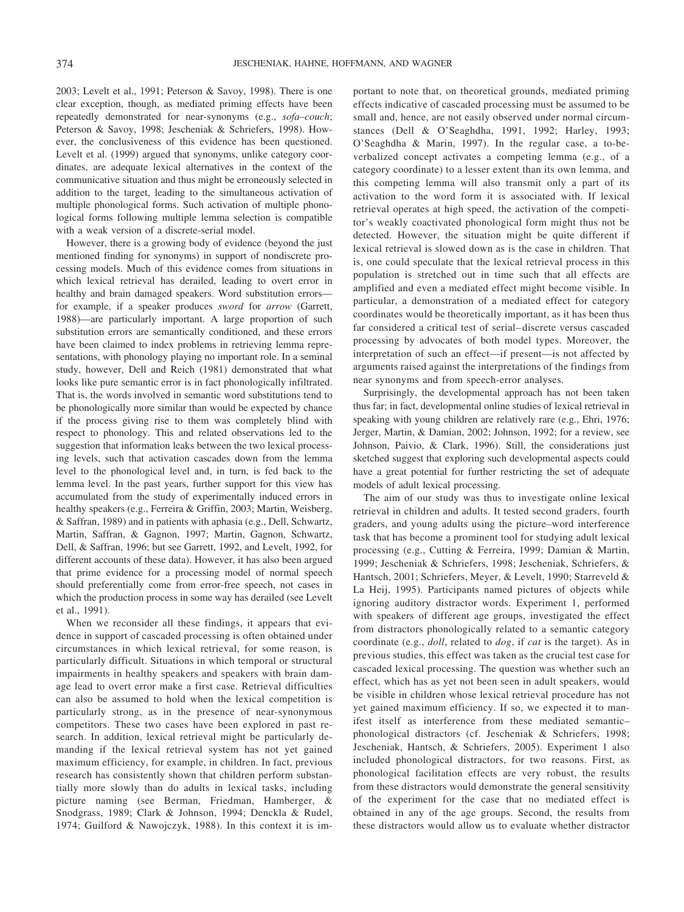2003; Levelt et al., 1991; Peterson & Savoy, 1998). There is one clear exception, though, as mediated priming effects have been repeatedly demonstrated for near-synonyms (e.g., *sofa*–*couch*; Peterson & Savoy, 1998; Jescheniak & Schriefers, 1998). However, the conclusiveness of this evidence has been questioned. Levelt et al. (1999) argued that synonyms, unlike category coordinates, are adequate lexical alternatives in the context of the communicative situation and thus might be erroneously selected in addition to the target, leading to the simultaneous activation of multiple phonological forms. Such activation of multiple phonological forms following multiple lemma selection is compatible with a weak version of a discrete-serial model.

However, there is a growing body of evidence (beyond the just mentioned finding for synonyms) in support of nondiscrete processing models. Much of this evidence comes from situations in which lexical retrieval has derailed, leading to overt error in healthy and brain damaged speakers. Word substitution errors for example, if a speaker produces *sword* for *arrow* (Garrett, 1988)—are particularly important. A large proportion of such substitution errors are semantically conditioned, and these errors have been claimed to index problems in retrieving lemma representations, with phonology playing no important role. In a seminal study, however, Dell and Reich (1981) demonstrated that what looks like pure semantic error is in fact phonologically infiltrated. That is, the words involved in semantic word substitutions tend to be phonologically more similar than would be expected by chance if the process giving rise to them was completely blind with respect to phonology. This and related observations led to the suggestion that information leaks between the two lexical processing levels, such that activation cascades down from the lemma level to the phonological level and, in turn, is fed back to the lemma level. In the past years, further support for this view has accumulated from the study of experimentally induced errors in healthy speakers (e.g., Ferreira & Griffin, 2003; Martin, Weisberg, & Saffran, 1989) and in patients with aphasia (e.g., Dell, Schwartz, Martin, Saffran, & Gagnon, 1997; Martin, Gagnon, Schwartz, Dell, & Saffran, 1996; but see Garrett, 1992, and Levelt, 1992, for different accounts of these data). However, it has also been argued that prime evidence for a processing model of normal speech should preferentially come from error-free speech, not cases in which the production process in some way has derailed (see Levelt et al., 1991).

When we reconsider all these findings, it appears that evidence in support of cascaded processing is often obtained under circumstances in which lexical retrieval, for some reason, is particularly difficult. Situations in which temporal or structural impairments in healthy speakers and speakers with brain damage lead to overt error make a first case. Retrieval difficulties can also be assumed to hold when the lexical competition is particularly strong, as in the presence of near-synonymous competitors. These two cases have been explored in past research. In addition, lexical retrieval might be particularly demanding if the lexical retrieval system has not yet gained maximum efficiency, for example, in children. In fact, previous research has consistently shown that children perform substantially more slowly than do adults in lexical tasks, including picture naming (see Berman, Friedman, Hamberger, & Snodgrass, 1989; Clark & Johnson, 1994; Denckla & Rudel, 1974; Guilford & Nawojczyk, 1988). In this context it is important to note that, on theoretical grounds, mediated priming effects indicative of cascaded processing must be assumed to be small and, hence, are not easily observed under normal circumstances (Dell & O'Seaghdha, 1991, 1992; Harley, 1993; O'Seaghdha & Marin, 1997). In the regular case, a to-beverbalized concept activates a competing lemma (e.g., of a category coordinate) to a lesser extent than its own lemma, and this competing lemma will also transmit only a part of its activation to the word form it is associated with. If lexical retrieval operates at high speed, the activation of the competitor's weakly coactivated phonological form might thus not be detected. However, the situation might be quite different if lexical retrieval is slowed down as is the case in children. That is, one could speculate that the lexical retrieval process in this population is stretched out in time such that all effects are amplified and even a mediated effect might become visible. In particular, a demonstration of a mediated effect for category coordinates would be theoretically important, as it has been thus far considered a critical test of serial– discrete versus cascaded processing by advocates of both model types. Moreover, the interpretation of such an effect—if present—is not affected by arguments raised against the interpretations of the findings from near synonyms and from speech-error analyses.

Surprisingly, the developmental approach has not been taken thus far; in fact, developmental online studies of lexical retrieval in speaking with young children are relatively rare (e.g., Ehri, 1976; Jerger, Martin, & Damian, 2002; Johnson, 1992; for a review, see Johnson, Paivio, & Clark, 1996). Still, the considerations just sketched suggest that exploring such developmental aspects could have a great potential for further restricting the set of adequate models of adult lexical processing.

The aim of our study was thus to investigate online lexical retrieval in children and adults. It tested second graders, fourth graders, and young adults using the picture–word interference task that has become a prominent tool for studying adult lexical processing (e.g., Cutting & Ferreira, 1999; Damian & Martin, 1999; Jescheniak & Schriefers, 1998; Jescheniak, Schriefers, & Hantsch, 2001; Schriefers, Meyer, & Levelt, 1990; Starreveld & La Heij, 1995). Participants named pictures of objects while ignoring auditory distractor words. Experiment 1, performed with speakers of different age groups, investigated the effect from distractors phonologically related to a semantic category coordinate (e.g., *doll*, related to *dog*, if *cat* is the target). As in previous studies, this effect was taken as the crucial test case for cascaded lexical processing. The question was whether such an effect, which has as yet not been seen in adult speakers, would be visible in children whose lexical retrieval procedure has not yet gained maximum efficiency. If so, we expected it to manifest itself as interference from these mediated semantic– phonological distractors (cf. Jescheniak & Schriefers, 1998; Jescheniak, Hantsch, & Schriefers, 2005). Experiment 1 also included phonological distractors, for two reasons. First, as phonological facilitation effects are very robust, the results from these distractors would demonstrate the general sensitivity of the experiment for the case that no mediated effect is obtained in any of the age groups. Second, the results from these distractors would allow us to evaluate whether distractor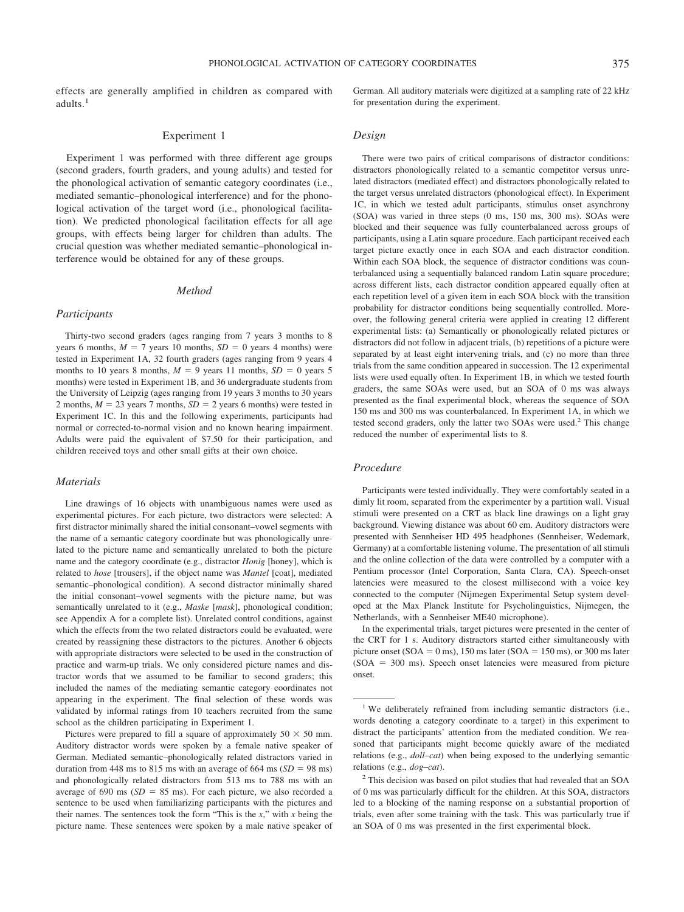effects are generally amplified in children as compared with adults.<sup>1</sup>

#### Experiment 1

Experiment 1 was performed with three different age groups (second graders, fourth graders, and young adults) and tested for the phonological activation of semantic category coordinates (i.e., mediated semantic–phonological interference) and for the phonological activation of the target word (i.e., phonological facilitation). We predicted phonological facilitation effects for all age groups, with effects being larger for children than adults. The crucial question was whether mediated semantic–phonological interference would be obtained for any of these groups.

#### *Method*

#### *Participants*

Thirty-two second graders (ages ranging from 7 years 3 months to 8 years 6 months,  $M = 7$  years 10 months,  $SD = 0$  years 4 months) were tested in Experiment 1A, 32 fourth graders (ages ranging from 9 years 4 months to 10 years 8 months,  $M = 9$  years 11 months,  $SD = 0$  years 5 months) were tested in Experiment 1B, and 36 undergraduate students from the University of Leipzig (ages ranging from 19 years 3 months to 30 years 2 months,  $M = 23$  years 7 months,  $SD = 2$  years 6 months) were tested in Experiment 1C. In this and the following experiments, participants had normal or corrected-to-normal vision and no known hearing impairment. Adults were paid the equivalent of \$7.50 for their participation, and children received toys and other small gifts at their own choice.

# *Materials*

Line drawings of 16 objects with unambiguous names were used as experimental pictures. For each picture, two distractors were selected: A first distractor minimally shared the initial consonant–vowel segments with the name of a semantic category coordinate but was phonologically unrelated to the picture name and semantically unrelated to both the picture name and the category coordinate (e.g., distractor *Honig* [honey], which is related to *hose* [trousers], if the object name was *Mantel* [coat], mediated semantic–phonological condition). A second distractor minimally shared the initial consonant–vowel segments with the picture name, but was semantically unrelated to it (e.g., *Maske* [*mask*], phonological condition; see Appendix A for a complete list). Unrelated control conditions, against which the effects from the two related distractors could be evaluated, were created by reassigning these distractors to the pictures. Another 6 objects with appropriate distractors were selected to be used in the construction of practice and warm-up trials. We only considered picture names and distractor words that we assumed to be familiar to second graders; this included the names of the mediating semantic category coordinates not appearing in the experiment. The final selection of these words was validated by informal ratings from 10 teachers recruited from the same school as the children participating in Experiment 1.

Pictures were prepared to fill a square of approximately  $50 \times 50$  mm. Auditory distractor words were spoken by a female native speaker of German. Mediated semantic–phonologically related distractors varied in duration from 448 ms to 815 ms with an average of 664 ms  $(SD = 98 \text{ ms})$ and phonologically related distractors from 513 ms to 788 ms with an average of 690 ms  $(SD = 85 \text{ ms})$ . For each picture, we also recorded a sentence to be used when familiarizing participants with the pictures and their names. The sentences took the form "This is the  $x$ ," with  $x$  being the picture name. These sentences were spoken by a male native speaker of

German. All auditory materials were digitized at a sampling rate of 22 kHz for presentation during the experiment.

# *Design*

There were two pairs of critical comparisons of distractor conditions: distractors phonologically related to a semantic competitor versus unrelated distractors (mediated effect) and distractors phonologically related to the target versus unrelated distractors (phonological effect). In Experiment 1C, in which we tested adult participants, stimulus onset asynchrony (SOA) was varied in three steps (0 ms, 150 ms, 300 ms). SOAs were blocked and their sequence was fully counterbalanced across groups of participants, using a Latin square procedure. Each participant received each target picture exactly once in each SOA and each distractor condition. Within each SOA block, the sequence of distractor conditions was counterbalanced using a sequentially balanced random Latin square procedure; across different lists, each distractor condition appeared equally often at each repetition level of a given item in each SOA block with the transition probability for distractor conditions being sequentially controlled. Moreover, the following general criteria were applied in creating 12 different experimental lists: (a) Semantically or phonologically related pictures or distractors did not follow in adjacent trials, (b) repetitions of a picture were separated by at least eight intervening trials, and (c) no more than three trials from the same condition appeared in succession. The 12 experimental lists were used equally often. In Experiment 1B, in which we tested fourth graders, the same SOAs were used, but an SOA of 0 ms was always presented as the final experimental block, whereas the sequence of SOA 150 ms and 300 ms was counterbalanced. In Experiment 1A, in which we tested second graders, only the latter two SOAs were used.<sup>2</sup> This change reduced the number of experimental lists to 8.

# *Procedure*

Participants were tested individually. They were comfortably seated in a dimly lit room, separated from the experimenter by a partition wall. Visual stimuli were presented on a CRT as black line drawings on a light gray background. Viewing distance was about 60 cm. Auditory distractors were presented with Sennheiser HD 495 headphones (Sennheiser, Wedemark, Germany) at a comfortable listening volume. The presentation of all stimuli and the online collection of the data were controlled by a computer with a Pentium processor (Intel Corporation, Santa Clara, CA). Speech-onset latencies were measured to the closest millisecond with a voice key connected to the computer (Nijmegen Experimental Setup system developed at the Max Planck Institute for Psycholinguistics, Nijmegen, the Netherlands, with a Sennheiser ME40 microphone).

In the experimental trials, target pictures were presented in the center of the CRT for 1 s. Auditory distractors started either simultaneously with picture onset ( $SOA = 0$  ms), 150 ms later ( $SOA = 150$  ms), or 300 ms later  $(SOA = 300 \text{ ms})$ . Speech onset latencies were measured from picture onset.

<sup>&</sup>lt;sup>1</sup> We deliberately refrained from including semantic distractors (i.e., words denoting a category coordinate to a target) in this experiment to distract the participants' attention from the mediated condition. We reasoned that participants might become quickly aware of the mediated relations (e.g., *doll*–*cat*) when being exposed to the underlying semantic relations (e.g., *dog*–*cat*).

<sup>2</sup> This decision was based on pilot studies that had revealed that an SOA of 0 ms was particularly difficult for the children. At this SOA, distractors led to a blocking of the naming response on a substantial proportion of trials, even after some training with the task. This was particularly true if an SOA of 0 ms was presented in the first experimental block.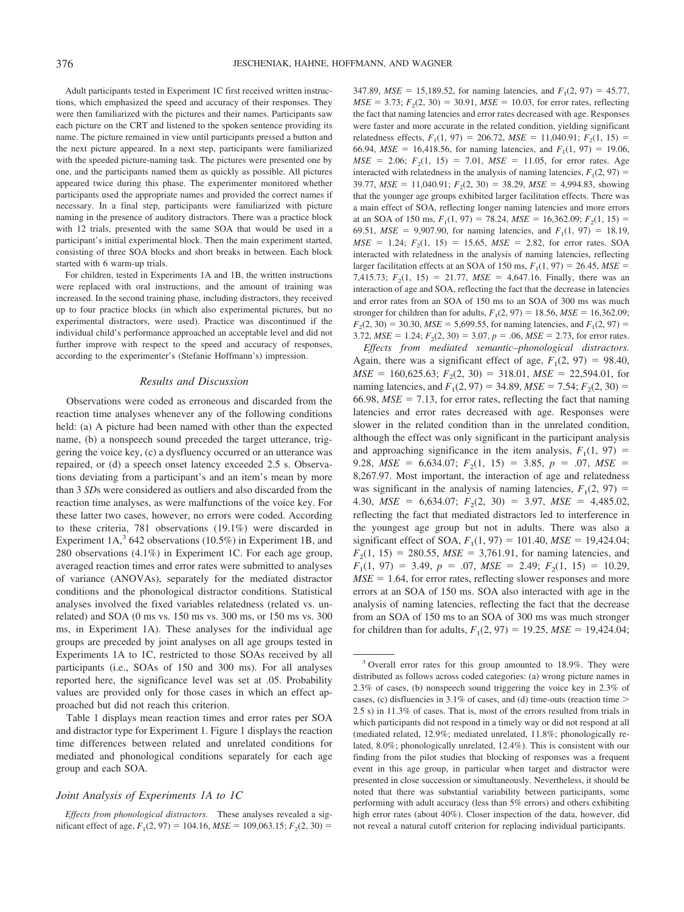Adult participants tested in Experiment 1C first received written instructions, which emphasized the speed and accuracy of their responses. They were then familiarized with the pictures and their names. Participants saw each picture on the CRT and listened to the spoken sentence providing its name. The picture remained in view until participants pressed a button and the next picture appeared. In a next step, participants were familiarized with the speeded picture-naming task. The pictures were presented one by one, and the participants named them as quickly as possible. All pictures appeared twice during this phase. The experimenter monitored whether participants used the appropriate names and provided the correct names if necessary. In a final step, participants were familiarized with picture naming in the presence of auditory distractors. There was a practice block with 12 trials, presented with the same SOA that would be used in a participant's initial experimental block. Then the main experiment started, consisting of three SOA blocks and short breaks in between. Each block started with 6 warm-up trials.

For children, tested in Experiments 1A and 1B, the written instructions were replaced with oral instructions, and the amount of training was increased. In the second training phase, including distractors, they received up to four practice blocks (in which also experimental pictures, but no experimental distractors, were used). Practice was discontinued if the individual child's performance approached an acceptable level and did not further improve with respect to the speed and accuracy of responses, according to the experimenter's (Stefanie Hoffmann's) impression.

#### *Results and Discussion*

Observations were coded as erroneous and discarded from the reaction time analyses whenever any of the following conditions held: (a) A picture had been named with other than the expected name, (b) a nonspeech sound preceded the target utterance, triggering the voice key, (c) a dysfluency occurred or an utterance was repaired, or (d) a speech onset latency exceeded 2.5 s. Observations deviating from a participant's and an item's mean by more than 3 *SD*s were considered as outliers and also discarded from the reaction time analyses, as were malfunctions of the voice key. For these latter two cases, however, no errors were coded. According to these criteria, 781 observations (19.1%) were discarded in Experiment  $1A$ ,  $3642$  observations (10.5%) in Experiment 1B, and 280 observations (4.1%) in Experiment 1C. For each age group, averaged reaction times and error rates were submitted to analyses of variance (ANOVAs), separately for the mediated distractor conditions and the phonological distractor conditions. Statistical analyses involved the fixed variables relatedness (related vs. unrelated) and SOA (0 ms vs. 150 ms vs. 300 ms, or 150 ms vs. 300 ms, in Experiment 1A). These analyses for the individual age groups are preceded by joint analyses on all age groups tested in Experiments 1A to 1C, restricted to those SOAs received by all participants (i.e., SOAs of 150 and 300 ms). For all analyses reported here, the significance level was set at .05. Probability values are provided only for those cases in which an effect approached but did not reach this criterion.

Table 1 displays mean reaction times and error rates per SOA and distractor type for Experiment 1. Figure 1 displays the reaction time differences between related and unrelated conditions for mediated and phonological conditions separately for each age group and each SOA.

#### *Joint Analysis of Experiments 1A to 1C*

*Effects from phonological distractors.* These analyses revealed a significant effect of age,  $F_1(2, 97) = 104.16$ ,  $MSE = 109,063.15; F_2(2, 30) =$ 

347.89,  $MSE = 15,189.52$ , for naming latencies, and  $F_1(2, 97) = 45.77$ ,  $MSE = 3.73$ ;  $F<sub>2</sub>(2, 30) = 30.91$ ,  $MSE = 10.03$ , for error rates, reflecting the fact that naming latencies and error rates decreased with age. Responses were faster and more accurate in the related condition, yielding significant relatedness effects,  $F_1(1, 97) = 206.72$ ,  $MSE = 11,040.91$ ;  $F_2(1, 15) =$ 66.94,  $MSE = 16,418.56$ , for naming latencies, and  $F_1(1, 97) = 19.06$ ,  $MSE = 2.06$ ;  $F<sub>2</sub>(1, 15) = 7.01$ ,  $MSE = 11.05$ , for error rates. Age interacted with relatedness in the analysis of naming latencies,  $F_1(2, 97) =$ 39.77,  $MSE = 11,040.91$ ;  $F<sub>2</sub>(2, 30) = 38.29$ ,  $MSE = 4,994.83$ , showing that the younger age groups exhibited larger facilitation effects. There was a main effect of SOA, reflecting longer naming latencies and more errors at an SOA of 150 ms,  $F_1(1, 97) = 78.24$ ,  $MSE = 16,362.09$ ;  $F_2(1, 15) =$ 69.51,  $MSE = 9,907.90$ , for naming latencies, and  $F_1(1, 97) = 18.19$ ,  $MSE = 1.24$ ;  $F<sub>2</sub>(1, 15) = 15.65$ ,  $MSE = 2.82$ , for error rates. SOA interacted with relatedness in the analysis of naming latencies, reflecting larger facilitation effects at an SOA of 150 ms,  $F_1(1, 97) = 26.45$ ,  $MSE =$ 7,415.73;  $F_2(1, 15) = 21.77$ ,  $MSE = 4.647.16$ . Finally, there was an interaction of age and SOA, reflecting the fact that the decrease in latencies and error rates from an SOA of 150 ms to an SOA of 300 ms was much stronger for children than for adults,  $F_1(2, 97) = 18.56$ ,  $MSE = 16,362.09$ ;  $F<sub>2</sub>(2, 30) = 30.30$ , *MSE* = 5,699.55, for naming latencies, and  $F<sub>1</sub>(2, 97) =$ 3.72,  $MSE = 1.24$ ;  $F_2(2, 30) = 3.07$ ,  $p = .06$ ,  $MSE = 2.73$ , for error rates.

*Effects from mediated semantic–phonological distractors.* Again, there was a significant effect of age,  $F_1(2, 97) = 98.40$ ,  $MSE = 160,625.63; F<sub>2</sub>(2, 30) = 318.01, MSE = 22,594.01, for$ naming latencies, and  $F_1(2, 97) = 34.89$ ,  $MSE = 7.54$ ;  $F_2(2, 30) =$ 66.98,  $MSE = 7.13$ , for error rates, reflecting the fact that naming latencies and error rates decreased with age. Responses were slower in the related condition than in the unrelated condition, although the effect was only significant in the participant analysis and approaching significance in the item analysis,  $F_1(1, 97) =$ 9.28,  $MSE = 6,634.07$ ;  $F_2(1, 15) = 3.85$ ,  $p = .07$ ,  $MSE =$ 8,267.97. Most important, the interaction of age and relatedness was significant in the analysis of naming latencies,  $F_1(2, 97) =$ 4.30,  $MSE = 6,634.07$ ;  $F<sub>2</sub>(2, 30) = 3.97$ ,  $MSE = 4,485.02$ , reflecting the fact that mediated distractors led to interference in the youngest age group but not in adults. There was also a significant effect of SOA,  $F_1(1, 97) = 101.40$ ,  $MSE = 19,424.04$ ;  $F_2(1, 15) = 280.55$ ,  $MSE = 3,761.91$ , for naming latencies, and  $F_1(1, 97) = 3.49, p = .07, MSE = 2.49; F_2(1, 15) = 10.29,$  $MSE = 1.64$ , for error rates, reflecting slower responses and more errors at an SOA of 150 ms. SOA also interacted with age in the analysis of naming latencies, reflecting the fact that the decrease from an SOA of 150 ms to an SOA of 300 ms was much stronger for children than for adults,  $F_1(2, 97) = 19.25$ ,  $MSE = 19,424.04$ ;

<sup>3</sup> Overall error rates for this group amounted to 18.9%. They were distributed as follows across coded categories: (a) wrong picture names in 2.3% of cases, (b) nonspeech sound triggering the voice key in 2.3% of cases, (c) disfluencies in 3.1% of cases, and (d) time-outs (reaction time  $\ge$ 2.5 s) in 11.3% of cases. That is, most of the errors resulted from trials in which participants did not respond in a timely way or did not respond at all (mediated related, 12.9%; mediated unrelated, 11.8%; phonologically related, 8.0%; phonologically unrelated, 12.4%). This is consistent with our finding from the pilot studies that blocking of responses was a frequent event in this age group, in particular when target and distractor were presented in close succession or simultaneously. Nevertheless, it should be noted that there was substantial variability between participants, some performing with adult accuracy (less than 5% errors) and others exhibiting high error rates (about 40%). Closer inspection of the data, however, did not reveal a natural cutoff criterion for replacing individual participants.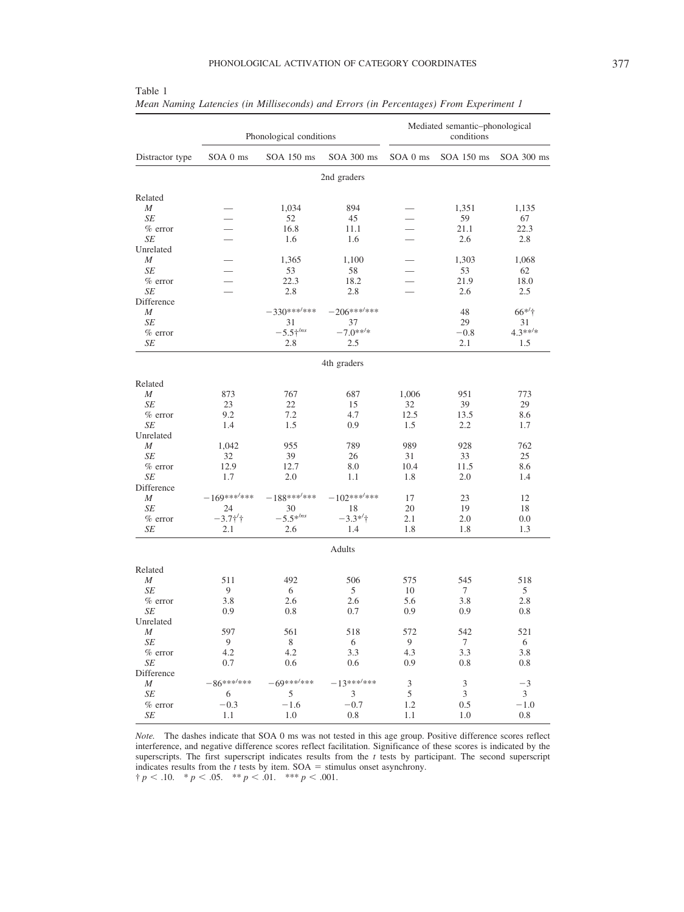# PHONOLOGICAL ACTIVATION OF CATEGORY COORDINATES 377

|                 |                 | Phonological conditions             |             |                             | Mediated semantic-phonological<br>conditions |             |
|-----------------|-----------------|-------------------------------------|-------------|-----------------------------|----------------------------------------------|-------------|
| Distractor type | SOA 0 ms        | SOA 150 ms                          | SOA 300 ms  | SOA 0 ms                    | SOA 150 ms                                   | SOA 300 ms  |
|                 |                 |                                     | 2nd graders |                             |                                              |             |
| Related         |                 |                                     |             |                             |                                              |             |
| M               |                 | 1,034                               | 894         |                             | 1,351                                        | 1,135       |
| SE              |                 | 52                                  | 45          |                             | 59                                           | 67          |
| $%$ error       |                 | 16.8                                | 11.1        |                             | 21.1                                         | 22.3        |
| SE              |                 | 1.6                                 | 1.6         |                             | 2.6                                          | 2.8         |
| Unrelated       |                 |                                     |             |                             |                                              |             |
| М               |                 | 1,365                               | 1,100       |                             | 1,303                                        | 1,068       |
| SE              |                 | 53                                  | 58          |                             | 53                                           | 62          |
| $%$ error       |                 | 22.3                                | 18.2        |                             | 21.9                                         | 18.0        |
| SE              |                 | 2.8                                 | 2.8         |                             | 2.6                                          | 2.5         |
| Difference      |                 |                                     |             |                             |                                              |             |
| М               |                 | $-330***$                           | $-206***$   |                             | 48                                           | $66*′†$     |
| SE              |                 | 31                                  | 37          |                             | 29                                           | 31          |
| $%$ error       |                 | $-5.5$ <sup><math>+</math>/ns</sup> | $-7.0***$   |                             | $-0.8$                                       | $4.3***$ /* |
| SЕ              |                 | 2.8                                 | 2.5         |                             | 2.1                                          | 1.5         |
|                 |                 |                                     | 4th graders |                             |                                              |             |
|                 |                 |                                     |             |                             |                                              |             |
| Related         |                 |                                     |             |                             |                                              |             |
| M               | 873             | 767                                 | 687         | 1,006                       | 951                                          | 773         |
| SE              | 23              | 22                                  | 15          | 32                          | 39                                           | 29          |
| $%$ error       | 9.2             | 7.2                                 | 4.7         | 12.5                        | 13.5                                         | 8.6         |
| SE              | 1.4             | 1.5                                 | 0.9         | 1.5                         | 2.2                                          | 1.7         |
| Unrelated       |                 |                                     |             |                             |                                              |             |
| M               | 1,042           | 955                                 | 789         | 989                         | 928                                          | 762         |
| <b>SE</b>       | 32              | 39                                  | 26          | 31                          | 33                                           | 25          |
| $%$ error       | 12.9            | 12.7                                | 8.0         | 10.4                        | 11.5                                         | 8.6         |
| SE              | 1.7             | 2.0                                 | 1.1         | 1.8                         | 2.0                                          | 1.4         |
| Difference      |                 |                                     |             |                             |                                              |             |
| M               | $-169***$       | $-188***}{***}$                     | $-102***$   | 17                          | 23                                           | 12          |
| <b>SE</b>       | 24              | 30                                  | 18          | 20                          | 19                                           | 18          |
| $%$ error       | $-3.7$ † $'$ †  | $-5.5*$ /ns                         | $-3.3*/$ †  | 2.1                         | 2.0                                          | 0.0         |
| SE              | 2.1             | 2.6                                 | 1.4         | 1.8                         | 1.8                                          | 1.3         |
|                 |                 |                                     | Adults      |                             |                                              |             |
| Related         |                 |                                     |             |                             |                                              |             |
| M               | 511             | 492                                 | 506         | 575                         | 545                                          | 518         |
| SE              | 9               | 6                                   | 5           | 10                          | 7                                            | 5           |
| $%$ error       | 3.8             | 2.6                                 | 2.6         | 5.6                         | 3.8                                          | 2.8         |
| SE              | 0.9             | 0.8                                 | 0.7         | 0.9                         | 0.9                                          | 0.8         |
| Unrelated       |                 |                                     |             |                             |                                              |             |
| M               | 597             | 561                                 | 518         | 572                         | 542                                          | 521         |
| SE              | $\overline{9}$  | 8                                   | 6           | $\boldsymbol{9}$            | $\boldsymbol{7}$                             | 6           |
| $%$ error       | 4.2             | 4.2                                 | 3.3         | 4.3                         | 3.3                                          | 3.8         |
| SE              | 0.7             | 0.6                                 | 0.6         | 0.9                         | 0.8                                          | 0.8         |
| Difference      |                 |                                     |             |                             |                                              |             |
| M               | $-86***$ '**'** | $-69***$                            | $-13***$    | $\ensuremath{\mathfrak{Z}}$ | $\mathfrak z$                                | $-3$        |
| $\cal SE$       | 6               | 5                                   | 3           | $\sqrt{5}$                  | $\mathfrak{Z}$                               | 3           |
| $\%$ error      | $-0.3$          | $-1.6$                              | $-0.7$      | 1.2                         | 0.5                                          | $-1.0$      |
|                 |                 |                                     | 0.8         |                             |                                              |             |
| SE              | 1.1             | 1.0                                 |             | 1.1                         | 1.0                                          | 0.8         |

| Table 1                                                                               |  |
|---------------------------------------------------------------------------------------|--|
| Mean Naming Latencies (in Milliseconds) and Errors (in Percentages) From Experiment 1 |  |

*Note.* The dashes indicate that SOA 0 ms was not tested in this age group. Positive difference scores reflect interference, and negative difference scores reflect facilitation. Significance of these scores is indicated by the superscripts. The first superscript indicates results from the *t* tests by participant. The second superscript indicates results from the  $t$  tests by item.  $SOA =$  stimulus onset asynchrony.  $\dagger p < .10.$   $\ast p < .05.$   $\ast \ast p < .01.$   $\ast \ast \ast p < .001.$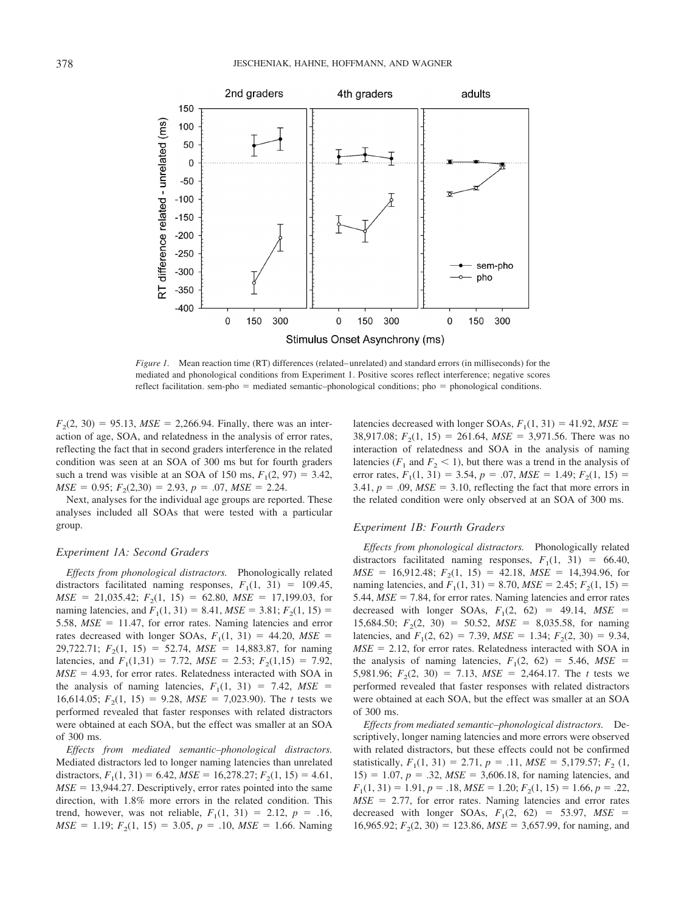

*Figure 1.* Mean reaction time (RT) differences (related– unrelated) and standard errors (in milliseconds) for the mediated and phonological conditions from Experiment 1. Positive scores reflect interference; negative scores reflect facilitation. sem-pho = mediated semantic–phonological conditions; pho = phonological conditions.

 $F<sub>2</sub>(2, 30) = 95.13$ , *MSE* = 2,266.94. Finally, there was an interaction of age, SOA, and relatedness in the analysis of error rates, reflecting the fact that in second graders interference in the related condition was seen at an SOA of 300 ms but for fourth graders such a trend was visible at an SOA of 150 ms,  $F_1(2, 97) = 3.42$ ,  $MSE = 0.95; F_2(2,30) = 2.93, p = .07, MSE = 2.24.$ 

Next, analyses for the individual age groups are reported. These analyses included all SOAs that were tested with a particular group.

#### *Experiment 1A: Second Graders*

*Effects from phonological distractors.* Phonologically related distractors facilitated naming responses,  $F_1(1, 31) = 109.45$ ,  $MSE = 21,035.42$ ;  $F<sub>2</sub>(1, 15) = 62.80$ ,  $MSE = 17,199.03$ , for naming latencies, and  $F_1(1, 31) = 8.41$ ,  $MSE = 3.81$ ;  $F_2(1, 15) =$ 5.58,  $MSE = 11.47$ , for error rates. Naming latencies and error rates decreased with longer SOAs,  $F_1(1, 31) = 44.20$ ,  $MSE =$ 29,722.71;  $F_2(1, 15) = 52.74$ ,  $MSE = 14,883.87$ , for naming latencies, and  $F_1(1,31) = 7.72$ ,  $MSE = 2.53$ ;  $F_2(1,15) = 7.92$ ,  $MSE = 4.93$ , for error rates. Relatedness interacted with SOA in the analysis of naming latencies,  $F_1(1, 31) = 7.42$ ,  $MSE =$ 16,614.05;  $F_2(1, 15) = 9.28$ ,  $MSE = 7.023.90$ ). The *t* tests we performed revealed that faster responses with related distractors were obtained at each SOA, but the effect was smaller at an SOA of 300 ms.

*Effects from mediated semantic–phonological distractors.* Mediated distractors led to longer naming latencies than unrelated distractors,  $F_1(1, 31) = 6.42$ ,  $MSE = 16,278.27$ ;  $F_2(1, 15) = 4.61$ ,  $MSE = 13,944.27$ . Descriptively, error rates pointed into the same direction, with 1.8% more errors in the related condition. This trend, however, was not reliable,  $F_1(1, 31) = 2.12$ ,  $p = .16$ ,  $MSE = 1.19$ ;  $F<sub>2</sub>(1, 15) = 3.05$ ,  $p = .10$ ,  $MSE = 1.66$ . Naming latencies decreased with longer SOAs,  $F_1(1, 31) = 41.92$ ,  $MSE =$ 38,917.08;  $F_2(1, 15) = 261.64$ ,  $MSE = 3,971.56$ . There was no interaction of relatedness and SOA in the analysis of naming latencies ( $F_1$  and  $F_2$  < 1), but there was a trend in the analysis of error rates,  $F_1(1, 31) = 3.54$ ,  $p = .07$ ,  $MSE = 1.49$ ;  $F_2(1, 15) =$ 3.41,  $p = .09$ ,  $MSE = 3.10$ , reflecting the fact that more errors in the related condition were only observed at an SOA of 300 ms.

#### *Experiment 1B: Fourth Graders*

*Effects from phonological distractors.* Phonologically related distractors facilitated naming responses,  $F_1(1, 31) = 66.40$ ,  $MSE = 16,912.48; F<sub>2</sub>(1, 15) = 42.18, MSE = 14,394.96, for$ naming latencies, and  $F_1(1, 31) = 8.70$ ,  $MSE = 2.45$ ;  $F_2(1, 15) =$ 5.44,  $MSE = 7.84$ , for error rates. Naming latencies and error rates decreased with longer SOAs,  $F_1(2, 62) = 49.14$ ,  $MSE =$ 15,684.50;  $F_2(2, 30) = 50.52$ ,  $MSE = 8,035.58$ , for naming latencies, and  $F_1(2, 62) = 7.39$ ,  $MSE = 1.34$ ;  $F_2(2, 30) = 9.34$ ,  $MSE = 2.12$ , for error rates. Relatedness interacted with SOA in the analysis of naming latencies,  $F_1(2, 62) = 5.46$ ,  $MSE =$ 5,981.96;  $F_2(2, 30) = 7.13$ ,  $MSE = 2,464.17$ . The *t* tests we performed revealed that faster responses with related distractors were obtained at each SOA, but the effect was smaller at an SOA of 300 ms.

*Effects from mediated semantic–phonological distractors.* Descriptively, longer naming latencies and more errors were observed with related distractors, but these effects could not be confirmed statistically,  $F_1(1, 31) = 2.71$ ,  $p = .11$ ,  $MSE = 5,179.57$ ;  $F_2(1, 1)$  $15) = 1.07, p = .32, MSE = 3,606.18$ , for naming latencies, and  $F_1(1, 31) = 1.91, p = .18, MSE = 1.20; F_2(1, 15) = 1.66, p = .22,$  $MSE = 2.77$ , for error rates. Naming latencies and error rates decreased with longer SOAs,  $F_1(2, 62) = 53.97$ ,  $MSE =$ 16,965.92;  $F_2(2, 30) = 123.86$ ,  $MSE = 3,657.99$ , for naming, and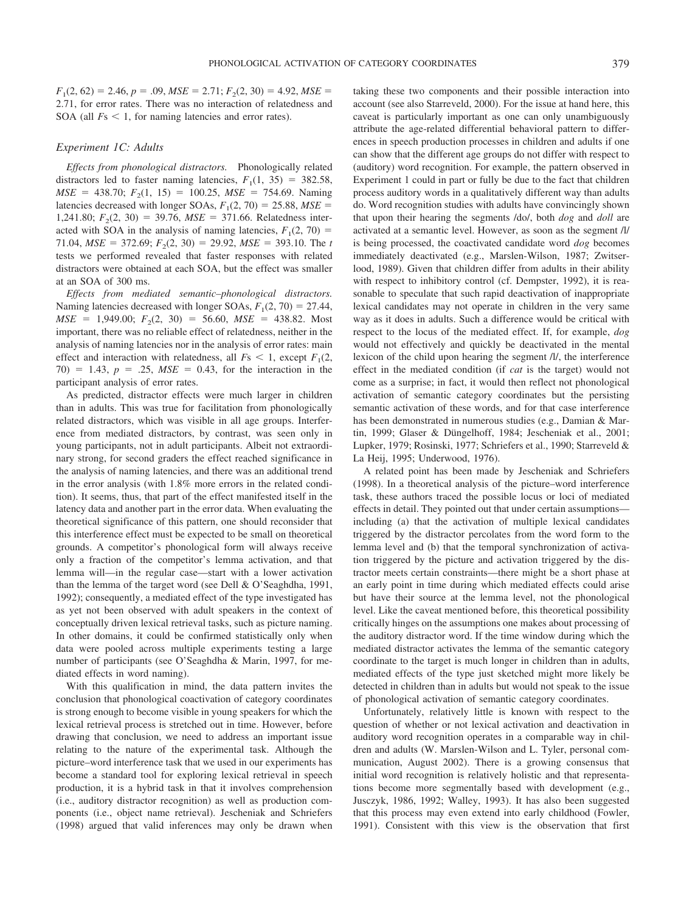$F_1(2, 62) = 2.46, p = .09, MSE = 2.71; F_2(2, 30) = 4.92, MSE =$ 2.71, for error rates. There was no interaction of relatedness and SOA (all  $Fs < 1$ , for naming latencies and error rates).

#### *Experiment 1C: Adults*

*Effects from phonological distractors.* Phonologically related distractors led to faster naming latencies,  $F_1(1, 35) = 382.58$ ,  $MSE = 438.70$ ;  $F<sub>2</sub>(1, 15) = 100.25$ ,  $MSE = 754.69$ . Naming latencies decreased with longer SOAs,  $F_1(2, 70) = 25.88$ ,  $MSE =$ 1,241.80;  $F_2(2, 30) = 39.76$ ,  $MSE = 371.66$ . Relatedness interacted with SOA in the analysis of naming latencies,  $F_1(2, 70) =$ 71.04,  $MSE = 372.69$ ;  $F<sub>2</sub>(2, 30) = 29.92$ ,  $MSE = 393.10$ . The *t* tests we performed revealed that faster responses with related distractors were obtained at each SOA, but the effect was smaller at an SOA of 300 ms.

*Effects from mediated semantic–phonological distractors.* Naming latencies decreased with longer SOAs,  $F_1(2, 70) = 27.44$ ,  $MSE = 1,949.00$ ;  $F<sub>2</sub>(2, 30) = 56.60$ ,  $MSE = 438.82$ . Most important, there was no reliable effect of relatedness, neither in the analysis of naming latencies nor in the analysis of error rates: main effect and interaction with relatedness, all  $Fs < 1$ , except  $F_1(2)$ ,  $70) = 1.43$ ,  $p = .25$ ,  $MSE = 0.43$ , for the interaction in the participant analysis of error rates.

As predicted, distractor effects were much larger in children than in adults. This was true for facilitation from phonologically related distractors, which was visible in all age groups. Interference from mediated distractors, by contrast, was seen only in young participants, not in adult participants. Albeit not extraordinary strong, for second graders the effect reached significance in the analysis of naming latencies, and there was an additional trend in the error analysis (with 1.8% more errors in the related condition). It seems, thus, that part of the effect manifested itself in the latency data and another part in the error data. When evaluating the theoretical significance of this pattern, one should reconsider that this interference effect must be expected to be small on theoretical grounds. A competitor's phonological form will always receive only a fraction of the competitor's lemma activation, and that lemma will—in the regular case—start with a lower activation than the lemma of the target word (see Dell & O'Seaghdha, 1991, 1992); consequently, a mediated effect of the type investigated has as yet not been observed with adult speakers in the context of conceptually driven lexical retrieval tasks, such as picture naming. In other domains, it could be confirmed statistically only when data were pooled across multiple experiments testing a large number of participants (see O'Seaghdha & Marin, 1997, for mediated effects in word naming).

With this qualification in mind, the data pattern invites the conclusion that phonological coactivation of category coordinates is strong enough to become visible in young speakers for which the lexical retrieval process is stretched out in time. However, before drawing that conclusion, we need to address an important issue relating to the nature of the experimental task. Although the picture–word interference task that we used in our experiments has become a standard tool for exploring lexical retrieval in speech production, it is a hybrid task in that it involves comprehension (i.e., auditory distractor recognition) as well as production components (i.e., object name retrieval). Jescheniak and Schriefers (1998) argued that valid inferences may only be drawn when taking these two components and their possible interaction into account (see also Starreveld, 2000). For the issue at hand here, this caveat is particularly important as one can only unambiguously attribute the age-related differential behavioral pattern to differences in speech production processes in children and adults if one can show that the different age groups do not differ with respect to (auditory) word recognition. For example, the pattern observed in Experiment 1 could in part or fully be due to the fact that children process auditory words in a qualitatively different way than adults do. Word recognition studies with adults have convincingly shown that upon their hearing the segments /do/, both *dog* and *doll* are activated at a semantic level. However, as soon as the segment /l/ is being processed, the coactivated candidate word *dog* becomes immediately deactivated (e.g., Marslen-Wilson, 1987; Zwitserlood, 1989). Given that children differ from adults in their ability with respect to inhibitory control (cf. Dempster, 1992), it is reasonable to speculate that such rapid deactivation of inappropriate lexical candidates may not operate in children in the very same way as it does in adults. Such a difference would be critical with respect to the locus of the mediated effect. If, for example, *dog* would not effectively and quickly be deactivated in the mental lexicon of the child upon hearing the segment /l/, the interference effect in the mediated condition (if *cat* is the target) would not come as a surprise; in fact, it would then reflect not phonological activation of semantic category coordinates but the persisting semantic activation of these words, and for that case interference has been demonstrated in numerous studies (e.g., Damian & Martin, 1999; Glaser & Düngelhoff, 1984; Jescheniak et al., 2001; Lupker, 1979; Rosinski, 1977; Schriefers et al., 1990; Starreveld & La Heij, 1995; Underwood, 1976).

A related point has been made by Jescheniak and Schriefers (1998). In a theoretical analysis of the picture–word interference task, these authors traced the possible locus or loci of mediated effects in detail. They pointed out that under certain assumptions including (a) that the activation of multiple lexical candidates triggered by the distractor percolates from the word form to the lemma level and (b) that the temporal synchronization of activation triggered by the picture and activation triggered by the distractor meets certain constraints—there might be a short phase at an early point in time during which mediated effects could arise but have their source at the lemma level, not the phonological level. Like the caveat mentioned before, this theoretical possibility critically hinges on the assumptions one makes about processing of the auditory distractor word. If the time window during which the mediated distractor activates the lemma of the semantic category coordinate to the target is much longer in children than in adults, mediated effects of the type just sketched might more likely be detected in children than in adults but would not speak to the issue of phonological activation of semantic category coordinates.

Unfortunately, relatively little is known with respect to the question of whether or not lexical activation and deactivation in auditory word recognition operates in a comparable way in children and adults (W. Marslen-Wilson and L. Tyler, personal communication, August 2002). There is a growing consensus that initial word recognition is relatively holistic and that representations become more segmentally based with development (e.g., Jusczyk, 1986, 1992; Walley, 1993). It has also been suggested that this process may even extend into early childhood (Fowler, 1991). Consistent with this view is the observation that first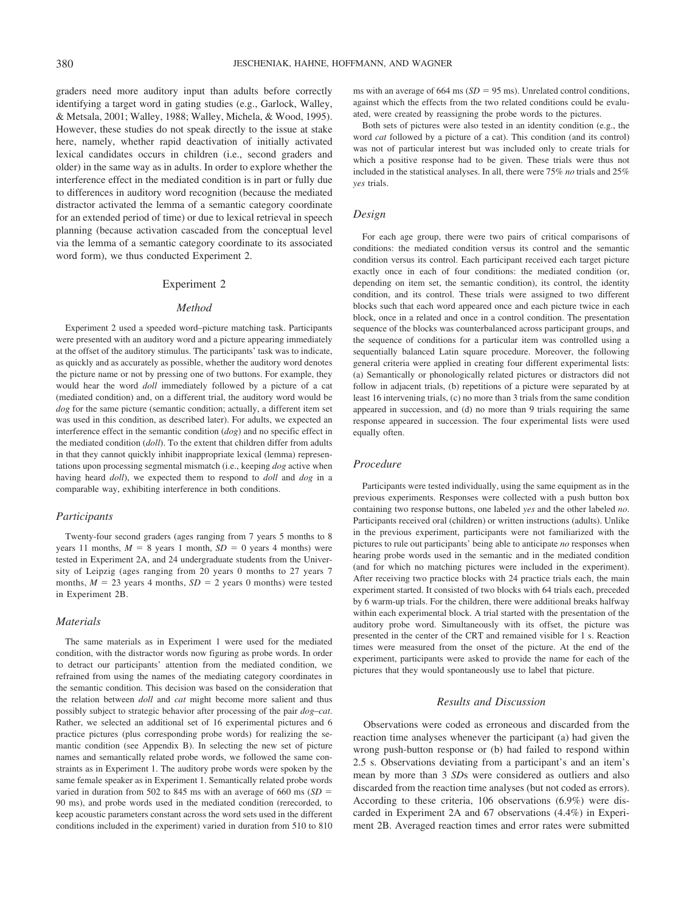graders need more auditory input than adults before correctly identifying a target word in gating studies (e.g., Garlock, Walley, & Metsala, 2001; Walley, 1988; Walley, Michela, & Wood, 1995). However, these studies do not speak directly to the issue at stake here, namely, whether rapid deactivation of initially activated lexical candidates occurs in children (i.e., second graders and older) in the same way as in adults. In order to explore whether the interference effect in the mediated condition is in part or fully due to differences in auditory word recognition (because the mediated distractor activated the lemma of a semantic category coordinate for an extended period of time) or due to lexical retrieval in speech planning (because activation cascaded from the conceptual level via the lemma of a semantic category coordinate to its associated word form), we thus conducted Experiment 2.

# Experiment 2

# *Method*

Experiment 2 used a speeded word–picture matching task. Participants were presented with an auditory word and a picture appearing immediately at the offset of the auditory stimulus. The participants' task was to indicate, as quickly and as accurately as possible, whether the auditory word denotes the picture name or not by pressing one of two buttons. For example, they would hear the word *doll* immediately followed by a picture of a cat (mediated condition) and, on a different trial, the auditory word would be *dog* for the same picture (semantic condition; actually, a different item set was used in this condition, as described later). For adults, we expected an interference effect in the semantic condition (*dog*) and no specific effect in the mediated condition (*doll*). To the extent that children differ from adults in that they cannot quickly inhibit inappropriate lexical (lemma) representations upon processing segmental mismatch (i.e., keeping *dog* active when having heard *doll*), we expected them to respond to *doll* and *dog* in a comparable way, exhibiting interference in both conditions.

#### *Participants*

Twenty-four second graders (ages ranging from 7 years 5 months to 8 years 11 months,  $M = 8$  years 1 month,  $SD = 0$  years 4 months) were tested in Experiment 2A, and 24 undergraduate students from the University of Leipzig (ages ranging from 20 years 0 months to 27 years 7 months,  $M = 23$  years 4 months,  $SD = 2$  years 0 months) were tested in Experiment 2B.

# *Materials*

The same materials as in Experiment 1 were used for the mediated condition, with the distractor words now figuring as probe words. In order to detract our participants' attention from the mediated condition, we refrained from using the names of the mediating category coordinates in the semantic condition. This decision was based on the consideration that the relation between *doll* and *cat* might become more salient and thus possibly subject to strategic behavior after processing of the pair *dog*–*cat*. Rather, we selected an additional set of 16 experimental pictures and 6 practice pictures (plus corresponding probe words) for realizing the semantic condition (see Appendix B). In selecting the new set of picture names and semantically related probe words, we followed the same constraints as in Experiment 1. The auditory probe words were spoken by the same female speaker as in Experiment 1. Semantically related probe words varied in duration from 502 to 845 ms with an average of 660 ms (*SD* 90 ms), and probe words used in the mediated condition (rerecorded, to keep acoustic parameters constant across the word sets used in the different conditions included in the experiment) varied in duration from 510 to 810 ms with an average of  $664 \text{ ms } (SD = 95 \text{ ms})$ . Unrelated control conditions, against which the effects from the two related conditions could be evaluated, were created by reassigning the probe words to the pictures.

Both sets of pictures were also tested in an identity condition (e.g., the word *cat* followed by a picture of a cat). This condition (and its control) was not of particular interest but was included only to create trials for which a positive response had to be given. These trials were thus not included in the statistical analyses. In all, there were 75% *no* trials and 25% *yes* trials.

#### *Design*

For each age group, there were two pairs of critical comparisons of conditions: the mediated condition versus its control and the semantic condition versus its control. Each participant received each target picture exactly once in each of four conditions: the mediated condition (or, depending on item set, the semantic condition), its control, the identity condition, and its control. These trials were assigned to two different blocks such that each word appeared once and each picture twice in each block, once in a related and once in a control condition. The presentation sequence of the blocks was counterbalanced across participant groups, and the sequence of conditions for a particular item was controlled using a sequentially balanced Latin square procedure. Moreover, the following general criteria were applied in creating four different experimental lists: (a) Semantically or phonologically related pictures or distractors did not follow in adjacent trials, (b) repetitions of a picture were separated by at least 16 intervening trials, (c) no more than 3 trials from the same condition appeared in succession, and (d) no more than 9 trials requiring the same response appeared in succession. The four experimental lists were used equally often.

#### *Procedure*

Participants were tested individually, using the same equipment as in the previous experiments. Responses were collected with a push button box containing two response buttons, one labeled *yes* and the other labeled *no*. Participants received oral (children) or written instructions (adults). Unlike in the previous experiment, participants were not familiarized with the pictures to rule out participants' being able to anticipate *no* responses when hearing probe words used in the semantic and in the mediated condition (and for which no matching pictures were included in the experiment). After receiving two practice blocks with 24 practice trials each, the main experiment started. It consisted of two blocks with 64 trials each, preceded by 6 warm-up trials. For the children, there were additional breaks halfway within each experimental block. A trial started with the presentation of the auditory probe word. Simultaneously with its offset, the picture was presented in the center of the CRT and remained visible for 1 s. Reaction times were measured from the onset of the picture. At the end of the experiment, participants were asked to provide the name for each of the pictures that they would spontaneously use to label that picture.

#### *Results and Discussion*

Observations were coded as erroneous and discarded from the reaction time analyses whenever the participant (a) had given the wrong push-button response or (b) had failed to respond within 2.5 s. Observations deviating from a participant's and an item's mean by more than 3 *SD*s were considered as outliers and also discarded from the reaction time analyses (but not coded as errors). According to these criteria, 106 observations (6.9%) were discarded in Experiment 2A and 67 observations (4.4%) in Experiment 2B. Averaged reaction times and error rates were submitted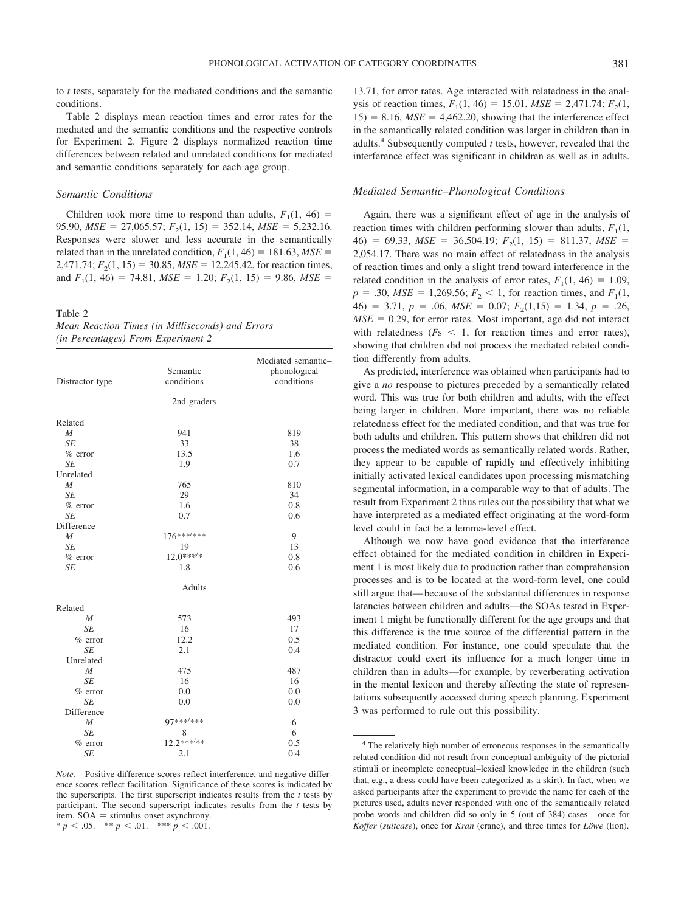to *t* tests, separately for the mediated conditions and the semantic conditions.

Table 2 displays mean reaction times and error rates for the mediated and the semantic conditions and the respective controls for Experiment 2. Figure 2 displays normalized reaction time differences between related and unrelated conditions for mediated and semantic conditions separately for each age group.

#### *Semantic Conditions*

Children took more time to respond than adults,  $F_1(1, 46)$  = 95.90,  $MSE = 27,065.57; F_2(1, 15) = 352.14, MSE = 5,232.16.$ Responses were slower and less accurate in the semantically related than in the unrelated condition,  $F_1(1, 46) = 181.63$ ,  $MSE =$ 2,471.74;  $F_2(1, 15) = 30.85$ ,  $MSE = 12,245.42$ , for reaction times, and  $F_1(1, 46) = 74.81$ ,  $MSE = 1.20$ ;  $F_2(1, 15) = 9.86$ ,  $MSE =$ 

#### Table 2

|  |  | Mean Reaction Times (in Milliseconds) and Errors |  |
|--|--|--------------------------------------------------|--|
|  |  | (in Percentages) From Experiment 2               |  |

| Distractor type  | Semantic<br>conditions | Mediated semantic-<br>phonological<br>conditions |
|------------------|------------------------|--------------------------------------------------|
|                  | 2nd graders            |                                                  |
| Related          |                        |                                                  |
| $\boldsymbol{M}$ | 941                    | 819                                              |
| <b>SE</b>        | 33                     | 38                                               |
| $%$ error        | 13.5                   | 1.6                                              |
| SE               | 1.9                    | 0.7                                              |
| Unrelated        |                        |                                                  |
| $\boldsymbol{M}$ | 765                    | 810                                              |
| <b>SE</b>        | 29                     | 34                                               |
| $%$ error        | 1.6                    | 0.8                                              |
| <b>SE</b>        | 0.7                    | 0.6                                              |
| Difference       |                        |                                                  |
| $\boldsymbol{M}$ | $176***$ /***          | 9                                                |
| <b>SE</b>        | 19                     | 13                                               |
| $%$ error        | $12.0***$              | 0.8                                              |
| SE               | 1.8                    | 0.6                                              |
|                  | <b>Adults</b>          |                                                  |
| Related          |                        |                                                  |
| $\boldsymbol{M}$ | 573                    | 493                                              |
| <b>SE</b>        | 16                     | 17                                               |
| $%$ error        | 12.2                   | 0.5                                              |
| <b>SE</b>        | 2.1                    | 0.4                                              |
| Unrelated        |                        |                                                  |
| $\boldsymbol{M}$ | 475                    | 487                                              |
| <b>SE</b>        | 16                     | 16                                               |
| $%$ error        | 0.0                    | 0.0                                              |
| <b>SE</b>        | 0.0                    | 0.0                                              |
| Difference       |                        |                                                  |
| $\boldsymbol{M}$ | 97***/***              | 6                                                |
| <b>SE</b>        | 8                      | 6                                                |
| $%$ error        | $12.2***$              | 0.5                                              |
| SE<br>2.1        |                        | 0.4                                              |

*Note.* Positive difference scores reflect interference, and negative difference scores reflect facilitation. Significance of these scores is indicated by the superscripts. The first superscript indicates results from the *t* tests by participant. The second superscript indicates results from the *t* tests by item.  $SOA =$  stimulus onset asynchrony.  $* p < .05.$  \*\*  $p < .01.$  \*\*\*  $p < .001.$ 

13.71, for error rates. Age interacted with relatedness in the analysis of reaction times,  $F_1(1, 46) = 15.01$ ,  $MSE = 2,471.74$ ;  $F_2(1, 46) = 15.01$ ,  $MSE = 2,471.74$ ;  $F_2(1, 46) = 15.01$  $15$ ) = 8.16,  $MSE$  = 4,462.20, showing that the interference effect in the semantically related condition was larger in children than in adults.4 Subsequently computed *t* tests, however, revealed that the interference effect was significant in children as well as in adults.

# *Mediated Semantic–Phonological Conditions*

Again, there was a significant effect of age in the analysis of reaction times with children performing slower than adults,  $F_1(1, 1)$  $46) = 69.33$ ,  $MSE = 36,504.19$ ;  $F<sub>2</sub>(1, 15) = 811.37$ ,  $MSE =$ 2,054.17. There was no main effect of relatedness in the analysis of reaction times and only a slight trend toward interference in the related condition in the analysis of error rates,  $F_1(1, 46) = 1.09$ ,  $p = .30$ ,  $MSE = 1,269.56$ ;  $F_2 < 1$ , for reaction times, and  $F_1(1, 1)$  $46) = 3.71, p = .06, MSE = 0.07; F<sub>2</sub>(1,15) = 1.34, p = .26,$  $MSE = 0.29$ , for error rates. Most important, age did not interact with relatedness ( $Fs < 1$ , for reaction times and error rates), showing that children did not process the mediated related condition differently from adults.

As predicted, interference was obtained when participants had to give a *no* response to pictures preceded by a semantically related word. This was true for both children and adults, with the effect being larger in children. More important, there was no reliable relatedness effect for the mediated condition, and that was true for both adults and children. This pattern shows that children did not process the mediated words as semantically related words. Rather, they appear to be capable of rapidly and effectively inhibiting initially activated lexical candidates upon processing mismatching segmental information, in a comparable way to that of adults. The result from Experiment 2 thus rules out the possibility that what we have interpreted as a mediated effect originating at the word-form level could in fact be a lemma-level effect.

Although we now have good evidence that the interference effect obtained for the mediated condition in children in Experiment 1 is most likely due to production rather than comprehension processes and is to be located at the word-form level, one could still argue that— because of the substantial differences in response latencies between children and adults—the SOAs tested in Experiment 1 might be functionally different for the age groups and that this difference is the true source of the differential pattern in the mediated condition. For instance, one could speculate that the distractor could exert its influence for a much longer time in children than in adults—for example, by reverberating activation in the mental lexicon and thereby affecting the state of representations subsequently accessed during speech planning. Experiment 3 was performed to rule out this possibility.

<sup>&</sup>lt;sup>4</sup> The relatively high number of erroneous responses in the semantically related condition did not result from conceptual ambiguity of the pictorial stimuli or incomplete conceptual–lexical knowledge in the children (such that, e.g., a dress could have been categorized as a skirt). In fact, when we asked participants after the experiment to provide the name for each of the pictures used, adults never responded with one of the semantically related probe words and children did so only in 5 (out of 384) cases— once for *Koffer* (*suitcase*), once for *Kran* (crane), and three times for *Lowe* (lion).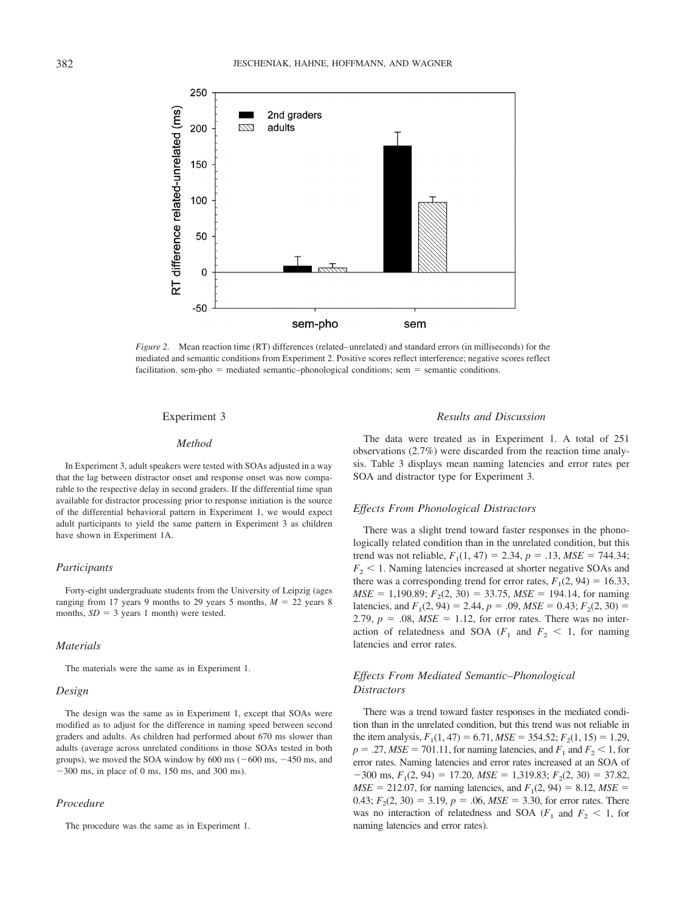

*Figure 2.* Mean reaction time (RT) differences (related– unrelated) and standard errors (in milliseconds) for the mediated and semantic conditions from Experiment 2. Positive scores reflect interference; negative scores reflect facilitation. sem-pho  $=$  mediated semantic–phonological conditions; sem  $=$  semantic conditions.

# Experiment 3

#### *Method*

In Experiment 3, adult speakers were tested with SOAs adjusted in a way that the lag between distractor onset and response onset was now comparable to the respective delay in second graders. If the differential time span available for distractor processing prior to response initiation is the source of the differential behavioral pattern in Experiment 1, we would expect adult participants to yield the same pattern in Experiment 3 as children have shown in Experiment 1A.

# *Participants*

Forty-eight undergraduate students from the University of Leipzig (ages ranging from 17 years 9 months to 29 years 5 months,  $M = 22$  years 8 months,  $SD = 3$  years 1 month) were tested.

## *Materials*

The materials were the same as in Experiment 1.

#### *Design*

The design was the same as in Experiment 1, except that SOAs were modified as to adjust for the difference in naming speed between second graders and adults. As children had performed about 670 ms slower than adults (average across unrelated conditions in those SOAs tested in both groups), we moved the SOA window by  $600 \text{ ms } (-600 \text{ ms}, -450 \text{ ms}, \text{ and})$  $-300$  ms, in place of 0 ms, 150 ms, and 300 ms).

# *Procedure*

The procedure was the same as in Experiment 1.

# *Results and Discussion*

The data were treated as in Experiment 1. A total of 251 observations (2.7%) were discarded from the reaction time analysis. Table 3 displays mean naming latencies and error rates per SOA and distractor type for Experiment 3.

#### *Effects From Phonological Distractors*

There was a slight trend toward faster responses in the phonologically related condition than in the unrelated condition, but this trend was not reliable,  $F_1(1, 47) = 2.34$ ,  $p = .13$ ,  $MSE = 744.34$ ;  $F<sub>2</sub> < 1$ . Naming latencies increased at shorter negative SOAs and there was a corresponding trend for error rates,  $F_1(2, 94) = 16.33$ ,  $MSE = 1,190.89; F<sub>2</sub>(2, 30) = 33.75, MSE = 194.14$ , for naming latencies, and  $F_1(2, 94) = 2.44$ ,  $p = .09$ ,  $MSE = 0.43$ ;  $F_2(2, 30) =$ 2.79,  $p = .08$ ,  $MSE = 1.12$ , for error rates. There was no interaction of relatedness and SOA ( $F_1$  and  $F_2$  < 1, for naming latencies and error rates.

# *Effects From Mediated Semantic–Phonological Distractors*

There was a trend toward faster responses in the mediated condition than in the unrelated condition, but this trend was not reliable in the item analysis,  $F_1(1, 47) = 6.71$ ,  $MSE = 354.52$ ;  $F_2(1, 15) = 1.29$ ,  $p = .27$ ,  $MSE = 701.11$ , for naming latencies, and  $F_1$  and  $F_2 < 1$ , for error rates. Naming latencies and error rates increased at an SOA of  $-300$  ms,  $F_1(2, 94) = 17.20$ ,  $MSE = 1,319.83$ ;  $F_2(2, 30) = 37.82$ ,  $MSE = 212.07$ , for naming latencies, and  $F_1(2, 94) = 8.12$ ,  $MSE =$ 0.43;  $F_2(2, 30) = 3.19$ ,  $p = .06$ ,  $MSE = 3.30$ , for error rates. There was no interaction of relatedness and SOA ( $F_1$  and  $F_2$  < 1, for naming latencies and error rates).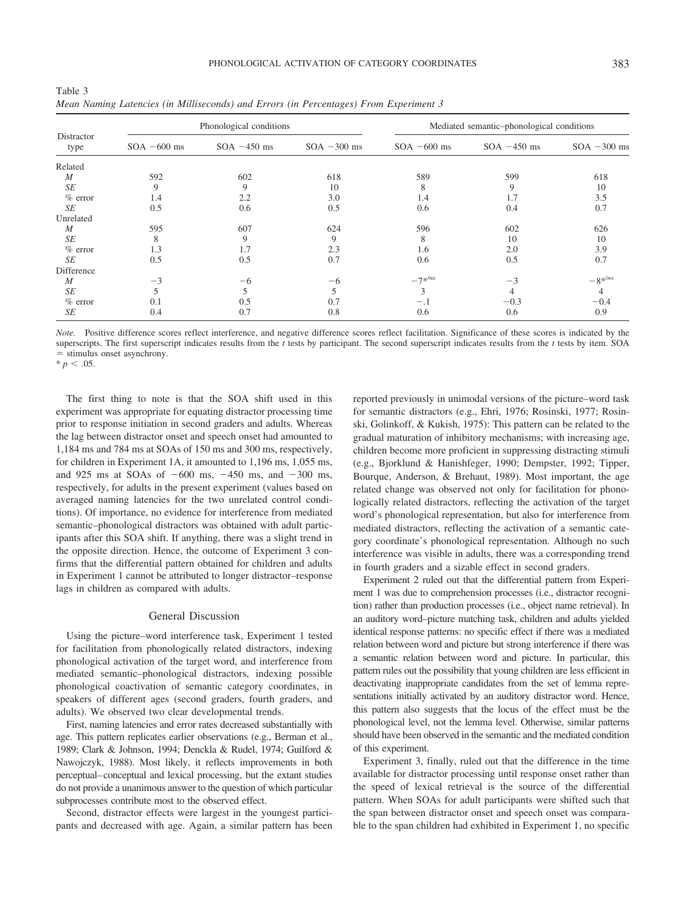| ۰,<br>$\sim$ | ۰,<br>۰.<br>× | ٦<br>I<br>$\sim$ |
|--------------|---------------|------------------|

Table 3 *Mean Naming Latencies (in Milliseconds) and Errors (in Percentages) From Experiment 3*

|                    | Phonological conditions |                |                | Mediated semantic-phonological conditions |                |                |
|--------------------|-------------------------|----------------|----------------|-------------------------------------------|----------------|----------------|
| Distractor<br>type | $SOA - 600$ ms          | $SOA - 450$ ms | $SOA - 300$ ms | $SOA - 600$ ms                            | $SOA - 450$ ms | $SOA - 300$ ms |
| Related            |                         |                |                |                                           |                |                |
| M                  | 592                     | 602            | 618            | 589                                       | 599            | 618            |
| SE                 | 9                       | 9              | 10             | 8                                         | 9              | 10             |
| $%$ error          | 1.4                     | 2.2            | 3.0            | 1.4                                       | 1.7            | 3.5            |
| <b>SE</b>          | 0.5                     | 0.6            | 0.5            | 0.6                                       | 0.4            | 0.7            |
| Unrelated          |                         |                |                |                                           |                |                |
| $\boldsymbol{M}$   | 595                     | 607            | 624            | 596                                       | 602            | 626            |
| SE                 | 8                       | 9              | 9              | 8                                         | 10             | 10             |
| $%$ error          | 1.3                     | 1.7            | 2.3            | 1.6                                       | 2.0            | 3.9            |
| SE                 | 0.5                     | 0.5            | 0.7            | 0.6                                       | 0.5            | 0.7            |
| Difference         |                         |                |                |                                           |                |                |
| M                  | $-3$                    | -6             | $-6$           | $-7*$ /ns                                 | $-3$           | $-8*^{ln s}$   |
| <b>SE</b>          |                         |                |                |                                           | 4              | 4              |
| $%$ error          | 0.1                     | 0.5            | 0.7            | $-.1$                                     | $-0.3$         | $-0.4$         |
| SE                 | 0.4                     | 0.7            | 0.8            | 0.6                                       | 0.6            | 0.9            |

*Note.* Positive difference scores reflect interference, and negative difference scores reflect facilitation. Significance of these scores is indicated by the superscripts. The first superscript indicates results from the *t* tests by participant. The second superscript indicates results from the *t* tests by item. SOA  $=$  stimulus onset asynchrony.

 $* p < .05.$ 

The first thing to note is that the SOA shift used in this experiment was appropriate for equating distractor processing time prior to response initiation in second graders and adults. Whereas the lag between distractor onset and speech onset had amounted to 1,184 ms and 784 ms at SOAs of 150 ms and 300 ms, respectively, for children in Experiment 1A, it amounted to 1,196 ms, 1,055 ms, and 925 ms at SOAs of  $-600$  ms,  $-450$  ms, and  $-300$  ms, respectively, for adults in the present experiment (values based on averaged naming latencies for the two unrelated control conditions). Of importance, no evidence for interference from mediated semantic–phonological distractors was obtained with adult participants after this SOA shift. If anything, there was a slight trend in the opposite direction. Hence, the outcome of Experiment 3 confirms that the differential pattern obtained for children and adults in Experiment 1 cannot be attributed to longer distractor–response lags in children as compared with adults.

# General Discussion

Using the picture–word interference task, Experiment 1 tested for facilitation from phonologically related distractors, indexing phonological activation of the target word, and interference from mediated semantic–phonological distractors, indexing possible phonological coactivation of semantic category coordinates, in speakers of different ages (second graders, fourth graders, and adults). We observed two clear developmental trends.

First, naming latencies and error rates decreased substantially with age. This pattern replicates earlier observations (e.g., Berman et al., 1989; Clark & Johnson, 1994; Denckla & Rudel, 1974; Guilford & Nawojczyk, 1988). Most likely, it reflects improvements in both perceptual–conceptual and lexical processing, but the extant studies do not provide a unanimous answer to the question of which particular subprocesses contribute most to the observed effect.

Second, distractor effects were largest in the youngest participants and decreased with age. Again, a similar pattern has been reported previously in unimodal versions of the picture–word task for semantic distractors (e.g., Ehri, 1976; Rosinski, 1977; Rosinski, Golinkoff, & Kukish, 1975): This pattern can be related to the gradual maturation of inhibitory mechanisms; with increasing age, children become more proficient in suppressing distracting stimuli (e.g., Bjorklund & Hanishfeger, 1990; Dempster, 1992; Tipper, Bourque, Anderson, & Brehaut, 1989). Most important, the age related change was observed not only for facilitation for phonologically related distractors, reflecting the activation of the target word's phonological representation, but also for interference from mediated distractors, reflecting the activation of a semantic category coordinate's phonological representation. Although no such interference was visible in adults, there was a corresponding trend in fourth graders and a sizable effect in second graders.

Experiment 2 ruled out that the differential pattern from Experiment 1 was due to comprehension processes (i.e., distractor recognition) rather than production processes (i.e., object name retrieval). In an auditory word–picture matching task, children and adults yielded identical response patterns: no specific effect if there was a mediated relation between word and picture but strong interference if there was a semantic relation between word and picture. In particular, this pattern rules out the possibility that young children are less efficient in deactivating inappropriate candidates from the set of lemma representations initially activated by an auditory distractor word. Hence, this pattern also suggests that the locus of the effect must be the phonological level, not the lemma level. Otherwise, similar patterns should have been observed in the semantic and the mediated condition of this experiment.

Experiment 3, finally, ruled out that the difference in the time available for distractor processing until response onset rather than the speed of lexical retrieval is the source of the differential pattern. When SOAs for adult participants were shifted such that the span between distractor onset and speech onset was comparable to the span children had exhibited in Experiment 1, no specific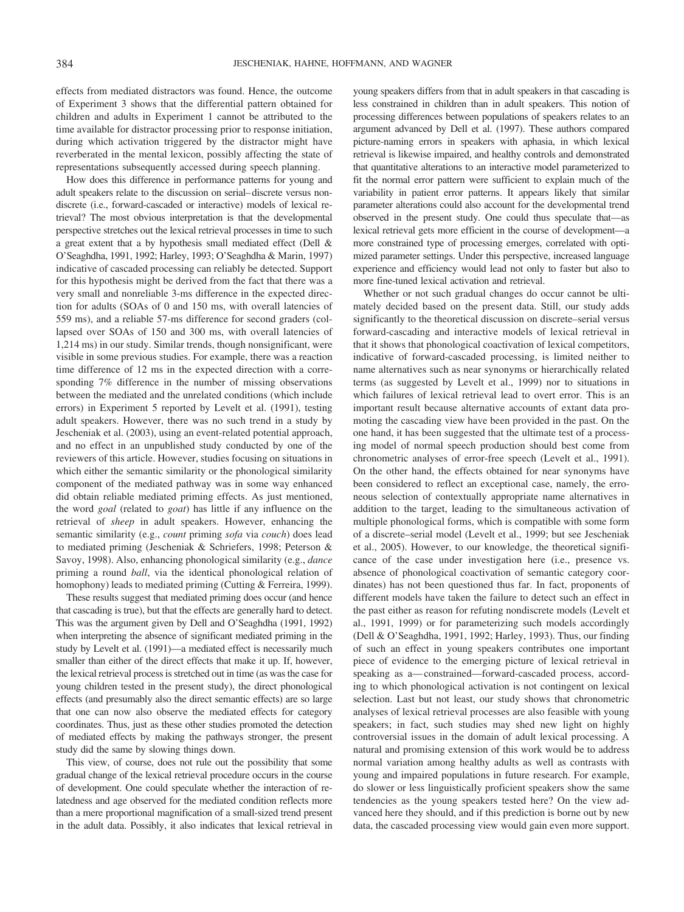effects from mediated distractors was found. Hence, the outcome of Experiment 3 shows that the differential pattern obtained for children and adults in Experiment 1 cannot be attributed to the time available for distractor processing prior to response initiation, during which activation triggered by the distractor might have reverberated in the mental lexicon, possibly affecting the state of representations subsequently accessed during speech planning.

How does this difference in performance patterns for young and adult speakers relate to the discussion on serial– discrete versus nondiscrete (i.e., forward-cascaded or interactive) models of lexical retrieval? The most obvious interpretation is that the developmental perspective stretches out the lexical retrieval processes in time to such a great extent that a by hypothesis small mediated effect (Dell & O'Seaghdha, 1991, 1992; Harley, 1993; O'Seaghdha & Marin, 1997) indicative of cascaded processing can reliably be detected. Support for this hypothesis might be derived from the fact that there was a very small and nonreliable 3-ms difference in the expected direction for adults (SOAs of 0 and 150 ms, with overall latencies of 559 ms), and a reliable 57-ms difference for second graders (collapsed over SOAs of 150 and 300 ms, with overall latencies of 1,214 ms) in our study. Similar trends, though nonsignificant, were visible in some previous studies. For example, there was a reaction time difference of 12 ms in the expected direction with a corresponding 7% difference in the number of missing observations between the mediated and the unrelated conditions (which include errors) in Experiment 5 reported by Levelt et al. (1991), testing adult speakers. However, there was no such trend in a study by Jescheniak et al. (2003), using an event-related potential approach, and no effect in an unpublished study conducted by one of the reviewers of this article. However, studies focusing on situations in which either the semantic similarity or the phonological similarity component of the mediated pathway was in some way enhanced did obtain reliable mediated priming effects. As just mentioned, the word *goal* (related to *goat*) has little if any influence on the retrieval of *sheep* in adult speakers. However, enhancing the semantic similarity (e.g., *count* priming *sofa* via *couch*) does lead to mediated priming (Jescheniak & Schriefers, 1998; Peterson & Savoy, 1998). Also, enhancing phonological similarity (e.g., *dance* priming a round *ball*, via the identical phonological relation of homophony) leads to mediated priming (Cutting & Ferreira, 1999).

These results suggest that mediated priming does occur (and hence that cascading is true), but that the effects are generally hard to detect. This was the argument given by Dell and O'Seaghdha (1991, 1992) when interpreting the absence of significant mediated priming in the study by Levelt et al. (1991)—a mediated effect is necessarily much smaller than either of the direct effects that make it up. If, however, the lexical retrieval process is stretched out in time (as was the case for young children tested in the present study), the direct phonological effects (and presumably also the direct semantic effects) are so large that one can now also observe the mediated effects for category coordinates. Thus, just as these other studies promoted the detection of mediated effects by making the pathways stronger, the present study did the same by slowing things down.

This view, of course, does not rule out the possibility that some gradual change of the lexical retrieval procedure occurs in the course of development. One could speculate whether the interaction of relatedness and age observed for the mediated condition reflects more than a mere proportional magnification of a small-sized trend present in the adult data. Possibly, it also indicates that lexical retrieval in young speakers differs from that in adult speakers in that cascading is less constrained in children than in adult speakers. This notion of processing differences between populations of speakers relates to an argument advanced by Dell et al. (1997). These authors compared picture-naming errors in speakers with aphasia, in which lexical retrieval is likewise impaired, and healthy controls and demonstrated that quantitative alterations to an interactive model parameterized to fit the normal error pattern were sufficient to explain much of the variability in patient error patterns. It appears likely that similar parameter alterations could also account for the developmental trend observed in the present study. One could thus speculate that—as lexical retrieval gets more efficient in the course of development—a more constrained type of processing emerges, correlated with optimized parameter settings. Under this perspective, increased language experience and efficiency would lead not only to faster but also to more fine-tuned lexical activation and retrieval.

Whether or not such gradual changes do occur cannot be ultimately decided based on the present data. Still, our study adds significantly to the theoretical discussion on discrete–serial versus forward-cascading and interactive models of lexical retrieval in that it shows that phonological coactivation of lexical competitors, indicative of forward-cascaded processing, is limited neither to name alternatives such as near synonyms or hierarchically related terms (as suggested by Levelt et al., 1999) nor to situations in which failures of lexical retrieval lead to overt error. This is an important result because alternative accounts of extant data promoting the cascading view have been provided in the past. On the one hand, it has been suggested that the ultimate test of a processing model of normal speech production should best come from chronometric analyses of error-free speech (Levelt et al., 1991). On the other hand, the effects obtained for near synonyms have been considered to reflect an exceptional case, namely, the erroneous selection of contextually appropriate name alternatives in addition to the target, leading to the simultaneous activation of multiple phonological forms, which is compatible with some form of a discrete–serial model (Levelt et al., 1999; but see Jescheniak et al., 2005). However, to our knowledge, the theoretical significance of the case under investigation here (i.e., presence vs. absence of phonological coactivation of semantic category coordinates) has not been questioned thus far. In fact, proponents of different models have taken the failure to detect such an effect in the past either as reason for refuting nondiscrete models (Levelt et al., 1991, 1999) or for parameterizing such models accordingly (Dell & O'Seaghdha, 1991, 1992; Harley, 1993). Thus, our finding of such an effect in young speakers contributes one important piece of evidence to the emerging picture of lexical retrieval in speaking as a— constrained—forward-cascaded process, according to which phonological activation is not contingent on lexical selection. Last but not least, our study shows that chronometric analyses of lexical retrieval processes are also feasible with young speakers; in fact, such studies may shed new light on highly controversial issues in the domain of adult lexical processing. A natural and promising extension of this work would be to address normal variation among healthy adults as well as contrasts with young and impaired populations in future research. For example, do slower or less linguistically proficient speakers show the same tendencies as the young speakers tested here? On the view advanced here they should, and if this prediction is borne out by new data, the cascaded processing view would gain even more support.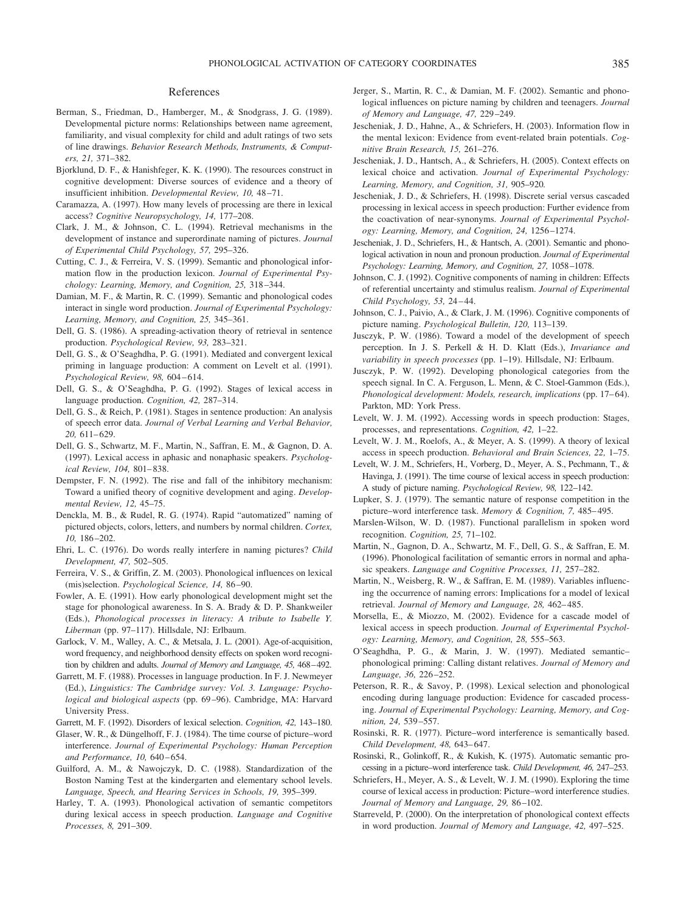# References

- Berman, S., Friedman, D., Hamberger, M., & Snodgrass, J. G. (1989). Developmental picture norms: Relationships between name agreement, familiarity, and visual complexity for child and adult ratings of two sets of line drawings. *Behavior Research Methods, Instruments, & Computers, 21,* 371–382.
- Bjorklund, D. F., & Hanishfeger, K. K. (1990). The resources construct in cognitive development: Diverse sources of evidence and a theory of insufficient inhibition. *Developmental Review, 10,* 48 –71.
- Caramazza, A. (1997). How many levels of processing are there in lexical access? *Cognitive Neuropsychology, 14,* 177–208.
- Clark, J. M., & Johnson, C. L. (1994). Retrieval mechanisms in the development of instance and superordinate naming of pictures. *Journal of Experimental Child Psychology, 57,* 295–326.
- Cutting, C. J., & Ferreira, V. S. (1999). Semantic and phonological information flow in the production lexicon. *Journal of Experimental Psychology: Learning, Memory, and Cognition, 25,* 318 –344.
- Damian, M. F., & Martin, R. C. (1999). Semantic and phonological codes interact in single word production. *Journal of Experimental Psychology: Learning, Memory, and Cognition, 25,* 345–361.
- Dell, G. S. (1986). A spreading-activation theory of retrieval in sentence production. *Psychological Review, 93,* 283–321.
- Dell, G. S., & O'Seaghdha, P. G. (1991). Mediated and convergent lexical priming in language production: A comment on Levelt et al. (1991). *Psychological Review, 98,* 604 – 614.
- Dell, G. S., & O'Seaghdha, P. G. (1992). Stages of lexical access in language production. *Cognition, 42,* 287–314.
- Dell, G. S., & Reich, P. (1981). Stages in sentence production: An analysis of speech error data. *Journal of Verbal Learning and Verbal Behavior, 20,* 611– 629.
- Dell, G. S., Schwartz, M. F., Martin, N., Saffran, E. M., & Gagnon, D. A. (1997). Lexical access in aphasic and nonaphasic speakers. *Psychological Review, 104,* 801– 838.
- Dempster, F. N. (1992). The rise and fall of the inhibitory mechanism: Toward a unified theory of cognitive development and aging. *Developmental Review, 12,* 45–75.
- Denckla, M. B., & Rudel, R. G. (1974). Rapid "automatized" naming of pictured objects, colors, letters, and numbers by normal children. *Cortex, 10,* 186 –202.
- Ehri, L. C. (1976). Do words really interfere in naming pictures? *Child Development, 47,* 502–505.
- Ferreira, V. S., & Griffin, Z. M. (2003). Phonological influences on lexical (mis)selection. *Psychological Science, 14,* 86 –90.
- Fowler, A. E. (1991). How early phonological development might set the stage for phonological awareness. In S. A. Brady & D. P. Shankweiler (Eds.), *Phonological processes in literacy: A tribute to Isabelle Y. Liberman* (pp. 97–117). Hillsdale, NJ: Erlbaum.
- Garlock, V. M., Walley, A. C., & Metsala, J. L. (2001). Age-of-acquisition, word frequency, and neighborhood density effects on spoken word recognition by children and adults. *Journal of Memory and Language, 45,* 468–492.
- Garrett, M. F. (1988). Processes in language production. In F. J. Newmeyer (Ed.), *Linguistics: The Cambridge survey: Vol. 3. Language: Psychological and biological aspects* (pp. 69 –96). Cambridge, MA: Harvard University Press.
- Garrett, M. F. (1992). Disorders of lexical selection. *Cognition, 42,* 143–180.
- Glaser, W. R., & Düngelhoff, F. J. (1984). The time course of picture-word interference. *Journal of Experimental Psychology: Human Perception and Performance, 10,* 640 – 654.
- Guilford, A. M., & Nawojczyk, D. C. (1988). Standardization of the Boston Naming Test at the kindergarten and elementary school levels. *Language, Speech, and Hearing Services in Schools, 19,* 395–399.
- Harley, T. A. (1993). Phonological activation of semantic competitors during lexical access in speech production. *Language and Cognitive Processes, 8,* 291–309.
- Jerger, S., Martin, R. C., & Damian, M. F. (2002). Semantic and phonological influences on picture naming by children and teenagers. *Journal of Memory and Language, 47,* 229 –249.
- Jescheniak, J. D., Hahne, A., & Schriefers, H. (2003). Information flow in the mental lexicon: Evidence from event-related brain potentials. *Cognitive Brain Research, 15,* 261–276.
- Jescheniak, J. D., Hantsch, A., & Schriefers, H. (2005). Context effects on lexical choice and activation. *Journal of Experimental Psychology: Learning, Memory, and Cognition, 31,* 905–920*.*
- Jescheniak, J. D., & Schriefers, H. (1998). Discrete serial versus cascaded processing in lexical access in speech production: Further evidence from the coactivation of near-synonyms. *Journal of Experimental Psychology: Learning, Memory, and Cognition, 24,* 1256 –1274.
- Jescheniak, J. D., Schriefers, H., & Hantsch, A. (2001). Semantic and phonological activation in noun and pronoun production. *Journal of Experimental Psychology: Learning, Memory, and Cognition, 27,* 1058 –1078.
- Johnson, C. J. (1992). Cognitive components of naming in children: Effects of referential uncertainty and stimulus realism. *Journal of Experimental Child Psychology, 53,* 24 – 44.
- Johnson, C. J., Paivio, A., & Clark, J. M. (1996). Cognitive components of picture naming. *Psychological Bulletin, 120,* 113–139.
- Jusczyk, P. W. (1986). Toward a model of the development of speech perception. In J. S. Perkell & H. D. Klatt (Eds.), *Invariance and variability in speech processes* (pp. 1–19). Hillsdale, NJ: Erlbaum.
- Jusczyk, P. W. (1992). Developing phonological categories from the speech signal. In C. A. Ferguson, L. Menn, & C. Stoel-Gammon (Eds.), *Phonological development: Models, research, implications* (pp. 17–64). Parkton, MD: York Press.
- Levelt, W. J. M. (1992). Accessing words in speech production: Stages, processes, and representations. *Cognition, 42,* 1–22.
- Levelt, W. J. M., Roelofs, A., & Meyer, A. S. (1999). A theory of lexical access in speech production. *Behavioral and Brain Sciences, 22,* 1–75.
- Levelt, W. J. M., Schriefers, H., Vorberg, D., Meyer, A. S., Pechmann, T., & Havinga, J. (1991). The time course of lexical access in speech production: A study of picture naming. *Psychological Review, 98,* 122–142.
- Lupker, S. J. (1979). The semantic nature of response competition in the picture–word interference task. *Memory & Cognition, 7, 485–495*.
- Marslen-Wilson, W. D. (1987). Functional parallelism in spoken word recognition. *Cognition, 25,* 71–102.
- Martin, N., Gagnon, D. A., Schwartz, M. F., Dell, G. S., & Saffran, E. M. (1996). Phonological facilitation of semantic errors in normal and aphasic speakers. *Language and Cognitive Processes, 11,* 257–282.
- Martin, N., Weisberg, R. W., & Saffran, E. M. (1989). Variables influencing the occurrence of naming errors: Implications for a model of lexical retrieval. *Journal of Memory and Language, 28,* 462– 485.
- Morsella, E., & Miozzo, M. (2002). Evidence for a cascade model of lexical access in speech production. *Journal of Experimental Psychology: Learning, Memory, and Cognition, 28,* 555–563.
- O'Seaghdha, P. G., & Marin, J. W. (1997). Mediated semantic– phonological priming: Calling distant relatives. *Journal of Memory and Language, 36,* 226 –252.
- Peterson, R. R., & Savoy, P. (1998). Lexical selection and phonological encoding during language production: Evidence for cascaded processing. *Journal of Experimental Psychology: Learning, Memory, and Cognition, 24,* 539 –557.
- Rosinski, R. R. (1977). Picture–word interference is semantically based. *Child Development, 48,* 643– 647.
- Rosinski, R., Golinkoff, R., & Kukish, K. (1975). Automatic semantic processing in a picture–word interference task. *Child Development, 46,* 247–253.
- Schriefers, H., Meyer, A. S., & Levelt, W. J. M. (1990). Exploring the time course of lexical access in production: Picture–word interference studies. *Journal of Memory and Language, 29,* 86 –102.
- Starreveld, P. (2000). On the interpretation of phonological context effects in word production. *Journal of Memory and Language, 42,* 497–525.